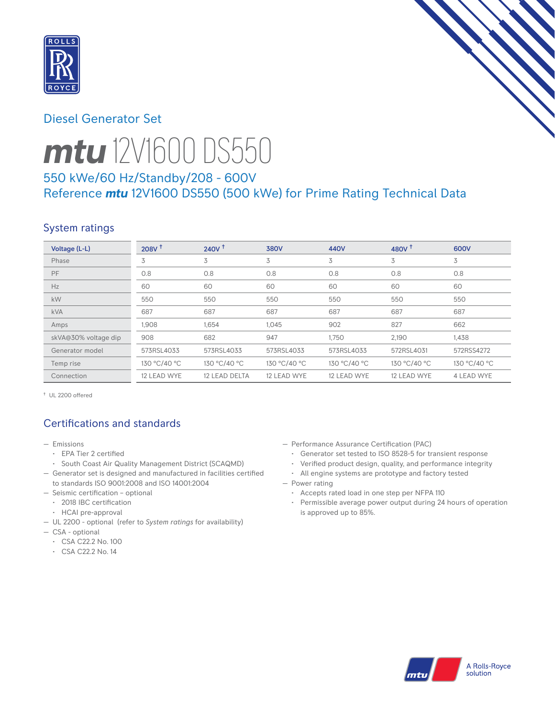

# Diesel Generator Set



# *mtu* 12V1600 DS550

# 550 kWe/60 Hz/Standby/208 - 600V Reference *mtu* 12V1600 DS550 (500 kWe) for Prime Rating Technical Data

# System ratings

| Voltage (L-L)        | 208V <sup>†</sup> | 240V <sup>†</sup> | <b>380V</b>  | 440V         | 480V $T$     | 600V         |
|----------------------|-------------------|-------------------|--------------|--------------|--------------|--------------|
| Phase                | 3                 | 3                 | 3            | 3            | 3            | 3            |
| <b>PF</b>            | 0.8               | 0.8               | 0.8          | 0.8          | 0.8          | 0.8          |
| Hz                   | 60                | 60                | 60           | 60           | 60           | 60           |
| kW                   | 550               | 550               | 550          | 550          | 550          | 550          |
| <b>kVA</b>           | 687               | 687               | 687          | 687          | 687          | 687          |
| Amps                 | 1,908             | 1,654             | 1,045        | 902          | 827          | 662          |
| skVA@30% voltage dip | 908               | 682               | 947          | 1,750        | 2,190        | 1,438        |
| Generator model      | 573RSL4033        | 573RSL4033        | 573RSL4033   | 573RSL4033   | 572RSL4031   | 572RSS4272   |
| Temp rise            | 130 °C/40 °C      | 130 °C/40 °C      | 130 °C/40 °C | 130 °C/40 °C | 130 °C/40 °C | 130 °C/40 °C |
| Connection           | 12 LEAD WYE       | 12 LEAD DELTA     | 12 LEAD WYE  | 12 LEAD WYE  | 12 LEAD WYE  | 4 LEAD WYE   |

† UL 2200 offered

# Certifications and standards

- Emissions
	- EPA Tier 2 certified
- South Coast Air Quality Management District (SCAQMD)
- Generator set is designed and manufactured in facilities certified to standards ISO 9001:2008 and ISO 14001:2004
- Seismic certification optional
- 2018 IBC certification
- HCAI pre-approval
- UL 2200 optional (refer to *System ratings* for availability)
- CSA optional
	- CSA C22.2 No. 100
	- CSA C22.2 No. 14
- Performance Assurance Certification (PAC)
	- Generator set tested to ISO 8528-5 for transient response
	- Verified product design, quality, and performance integrity
	- All engine systems are prototype and factory tested
- Power rating
	- Accepts rated load in one step per NFPA 110
	- Permissible average power output during 24 hours of operation is approved up to 85%.

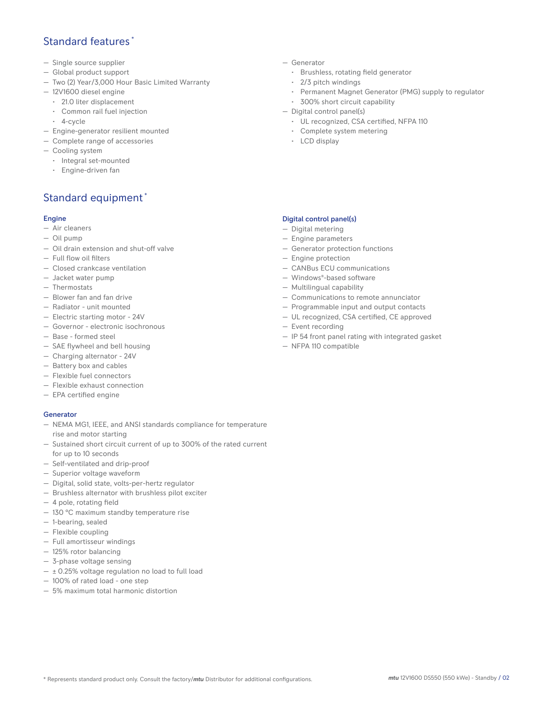## Standard features \*

- Single source supplier
- Global product support
- Two (2) Year/3,000 Hour Basic Limited Warranty
- 12V1600 diesel engine
	- 21.0 liter displacement
	- Common rail fuel injection
	- 4-cycle
- Engine-generator resilient mounted
- Complete range of accessories
- Cooling system
- Integral set-mounted
	- Engine-driven fan

# Standard equipment \*

#### Engine

- Air cleaners
- Oil pump
- Oil drain extension and shut-off valve
- Full flow oil filters
- Closed crankcase ventilation
- Jacket water pump
- Thermostats
- Blower fan and fan drive
- Radiator unit mounted
- Electric starting motor 24V
- Governor electronic isochronous
- Base formed steel
- SAE flywheel and bell housing
- Charging alternator 24V
- Battery box and cables
- Flexible fuel connectors
- Flexible exhaust connection
- EPA certified engine

#### **Generator**

- NEMA MG1, IEEE, and ANSI standards compliance for temperature rise and motor starting
- Sustained short circuit current of up to 300% of the rated current for up to 10 seconds
- Self-ventilated and drip-proof
- Superior voltage waveform
- Digital, solid state, volts-per-hertz regulator
- Brushless alternator with brushless pilot exciter
- 4 pole, rotating field
- 130 °C maximum standby temperature rise
- 1-bearing, sealed
- Flexible coupling
- Full amortisseur windings
- 125% rotor balancing
- 3-phase voltage sensing
- $\pm$  0.25% voltage regulation no load to full load
- 100% of rated load one step
- 5% maximum total harmonic distortion
- Generator
	- Brushless, rotating field generator
	- 2/3 pitch windings
	- Permanent Magnet Generator (PMG) supply to regulator
- 300% short circuit capability
- Digital control panel(s)
	- UL recognized, CSA certified, NFPA 110
	- Complete system metering
	- LCD display

### Digital control panel(s)

- Digital metering
- Engine parameters
- Generator protection functions
- Engine protection
- CANBus ECU communications
- Windows®-based software
- Multilingual capability
- Communications to remote annunciator
- Programmable input and output contacts
- UL recognized, CSA certified, CE approved
- Event recording
- IP 54 front panel rating with integrated gasket
- NFPA 110 compatible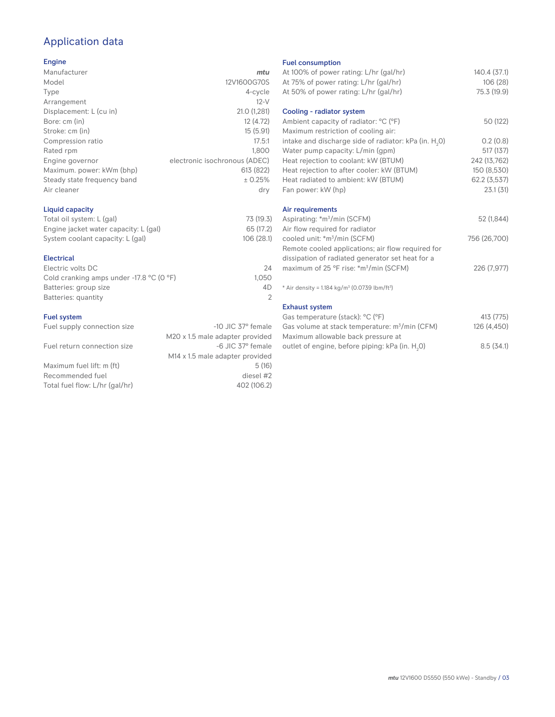# Application data

#### Engine

| Manufacturer                | mtu                           |
|-----------------------------|-------------------------------|
| Model                       | 12V1600G70S                   |
| Type                        | 4-cycle                       |
| Arrangement                 | $12-V$                        |
| Displacement: L (cu in)     | 21.0 (1,281)                  |
| Bore: cm (in)               | 12 (4.72)                     |
| Stroke: cm (in)             | 15(5.91)                      |
| Compression ratio           | 17.5:1                        |
| Rated rpm                   | 1.800                         |
| Engine governor             | electronic isochronous (ADEC) |
| Maximum. power: kWm (bhp)   | 613 (822)                     |
| Steady state frequency band | ± 0.25%                       |
| Air cleaner                 | dry                           |
|                             |                               |

## Liquid capacity

| Total oil system: L (gal)             | 73 (19.3) |
|---------------------------------------|-----------|
| Engine jacket water capacity: L (gal) | 65 (17.2) |
| System coolant capacity: L (gal)      | 106(28.1) |

#### Electrical

| Electric volts DC                                            | 24    |
|--------------------------------------------------------------|-------|
| Cold cranking amps under -17.8 $^{\circ}$ C (O $^{\circ}$ F) | 1.050 |
| Batteries: group size                                        | 4D    |
| Batteries: quantity                                          |       |
|                                                              |       |

#### Fuel system

| Fuel supply connection size    | $-10$ JIC 37 $\degree$ female               |
|--------------------------------|---------------------------------------------|
|                                | M20 x 1.5 male adapter provided             |
| Fuel return connection size    | -6 JIC 37° female                           |
|                                | M <sub>14</sub> x 1.5 male adapter provided |
| Maximum fuel lift: m (ft)      | 5(16)                                       |
| Recommended fuel               | diesel #2                                   |
| Total fuel flow: L/hr (gal/hr) | 402 (106.2)                                 |
|                                |                                             |

#### Fuel consumption

|                      | <b>LUGE CONSUMPTION</b>                                              |              |
|----------------------|----------------------------------------------------------------------|--------------|
| ū                    | At 100% of power rating: L/hr (gal/hr)                               | 140.4 (37.1) |
| S                    | At 75% of power rating: L/hr (gal/hr)                                | 106 (28)     |
| e                    | At 50% of power rating: L/hr (gal/hr)                                | 75.3 (19.9)  |
| V                    |                                                                      |              |
| 1)                   | Cooling - radiator system                                            |              |
| 2)                   | Ambient capacity of radiator: °C (°F)                                | 50 (122)     |
| 1)                   | Maximum restriction of cooling air:                                  |              |
| :1                   | intake and discharge side of radiator: kPa (in. H <sub>2</sub> 0)    | 0.2(0.8)     |
| 0                    | Water pump capacity: L/min (gpm)                                     | 517 (137)    |
| C)                   | Heat rejection to coolant: kW (BTUM)                                 | 242 (13,762) |
| 2)                   | Heat rejection to after cooler: kW (BTUM)                            | 150 (8,530)  |
| ℅                    | Heat radiated to ambient: kW (BTUM)                                  | 62.2 (3,537) |
| .<br>V               | Fan power: kW (hp)                                                   | 23.1(31)     |
|                      | Air requirements                                                     |              |
| .3)                  | Aspirating: *m <sup>3</sup> /min (SCFM)                              | 52 (1,844)   |
| .2)                  | Air flow required for radiator                                       |              |
| :1)                  | cooled unit: *m <sup>3</sup> /min (SCFM)                             | 756 (26,700) |
|                      | Remote cooled applications; air flow required for                    |              |
|                      | dissipation of radiated generator set heat for a                     |              |
| 24                   | maximum of 25 °F rise: *m <sup>3</sup> /min (SCFM)                   | 226 (7,977)  |
| 50                   |                                                                      |              |
| ŀD<br>$\overline{2}$ | * Air density = $1.184 \text{ kg/m}^3$ (0.0739 lbm/ft <sup>3</sup> ) |              |
|                      | <b>Exhaust system</b>                                                |              |
|                      | Gas temperature (stack): °C (°F)                                     | 413 (775)    |
| ıle                  | Gas volume at stack temperature: $m^3/m$ in (CFM)                    | 126 (4,450)  |
| эd                   | Maximum allowable back pressure at                                   |              |
|                      |                                                                      |              |

outlet of engine, before piping: kPa (in.  $H_2O$ )

0) 8.5 (34.1)